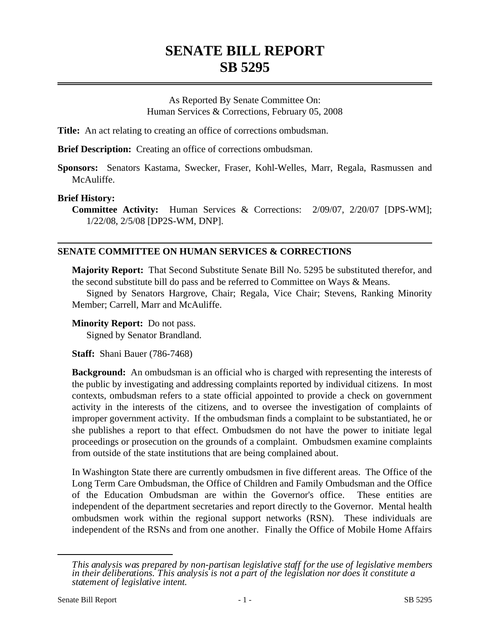## **SENATE BILL REPORT SB 5295**

As Reported By Senate Committee On: Human Services & Corrections, February 05, 2008

**Title:** An act relating to creating an office of corrections ombudsman.

**Brief Description:** Creating an office of corrections ombudsman.

**Sponsors:** Senators Kastama, Swecker, Fraser, Kohl-Welles, Marr, Regala, Rasmussen and McAuliffe.

## **Brief History:**

**Committee Activity:** Human Services & Corrections: 2/09/07, 2/20/07 [DPS-WM]; 1/22/08, 2/5/08 [DP2S-WM, DNP].

## **SENATE COMMITTEE ON HUMAN SERVICES & CORRECTIONS**

**Majority Report:** That Second Substitute Senate Bill No. 5295 be substituted therefor, and the second substitute bill do pass and be referred to Committee on Ways & Means.

Signed by Senators Hargrove, Chair; Regala, Vice Chair; Stevens, Ranking Minority Member; Carrell, Marr and McAuliffe.

**Minority Report:** Do not pass. Signed by Senator Brandland.

**Staff:** Shani Bauer (786-7468)

**Background:** An ombudsman is an official who is charged with representing the interests of the public by investigating and addressing complaints reported by individual citizens. In most contexts, ombudsman refers to a state official appointed to provide a check on government activity in the interests of the citizens, and to oversee the investigation of complaints of improper government activity. If the ombudsman finds a complaint to be substantiated, he or she publishes a report to that effect. Ombudsmen do not have the power to initiate legal proceedings or prosecution on the grounds of a complaint. Ombudsmen examine complaints from outside of the state institutions that are being complained about.

In Washington State there are currently ombudsmen in five different areas. The Office of the Long Term Care Ombudsman, the Office of Children and Family Ombudsman and the Office of the Education Ombudsman are within the Governor's office. These entities are independent of the department secretaries and report directly to the Governor. Mental health ombudsmen work within the regional support networks (RSN). These individuals are independent of the RSNs and from one another. Finally the Office of Mobile Home Affairs

*This analysis was prepared by non-partisan legislative staff for the use of legislative members in their deliberations. This analysis is not a part of the legislation nor does it constitute a statement of legislative intent.*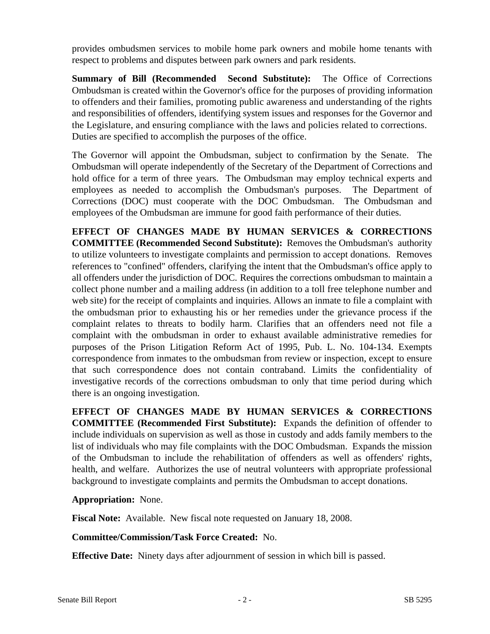provides ombudsmen services to mobile home park owners and mobile home tenants with respect to problems and disputes between park owners and park residents.

**Summary of Bill (Recommended Second Substitute):** The Office of Corrections Ombudsman is created within the Governor's office for the purposes of providing information to offenders and their families, promoting public awareness and understanding of the rights and responsibilities of offenders, identifying system issues and responses for the Governor and the Legislature, and ensuring compliance with the laws and policies related to corrections. Duties are specified to accomplish the purposes of the office.

The Governor will appoint the Ombudsman, subject to confirmation by the Senate. The Ombudsman will operate independently of the Secretary of the Department of Corrections and hold office for a term of three years. The Ombudsman may employ technical experts and employees as needed to accomplish the Ombudsman's purposes. The Department of Corrections (DOC) must cooperate with the DOC Ombudsman. The Ombudsman and employees of the Ombudsman are immune for good faith performance of their duties.

**EFFECT OF CHANGES MADE BY HUMAN SERVICES & CORRECTIONS COMMITTEE (Recommended Second Substitute):** Removes the Ombudsman's authority to utilize volunteers to investigate complaints and permission to accept donations. Removes references to "confined" offenders, clarifying the intent that the Ombudsman's office apply to all offenders under the jurisdiction of DOC. Requires the corrections ombudsman to maintain a collect phone number and a mailing address (in addition to a toll free telephone number and web site) for the receipt of complaints and inquiries. Allows an inmate to file a complaint with the ombudsman prior to exhausting his or her remedies under the grievance process if the complaint relates to threats to bodily harm. Clarifies that an offenders need not file a complaint with the ombudsman in order to exhaust available administrative remedies for purposes of the Prison Litigation Reform Act of 1995, Pub. L. No. 104-134. Exempts correspondence from inmates to the ombudsman from review or inspection, except to ensure that such correspondence does not contain contraband. Limits the confidentiality of investigative records of the corrections ombudsman to only that time period during which there is an ongoing investigation.

**EFFECT OF CHANGES MADE BY HUMAN SERVICES & CORRECTIONS COMMITTEE (Recommended First Substitute):** Expands the definition of offender to include individuals on supervision as well as those in custody and adds family members to the list of individuals who may file complaints with the DOC Ombudsman. Expands the mission of the Ombudsman to include the rehabilitation of offenders as well as offenders' rights, health, and welfare. Authorizes the use of neutral volunteers with appropriate professional background to investigate complaints and permits the Ombudsman to accept donations.

## **Appropriation:** None.

**Fiscal Note:** Available. New fiscal note requested on January 18, 2008.

**Committee/Commission/Task Force Created:** No.

**Effective Date:** Ninety days after adjournment of session in which bill is passed.